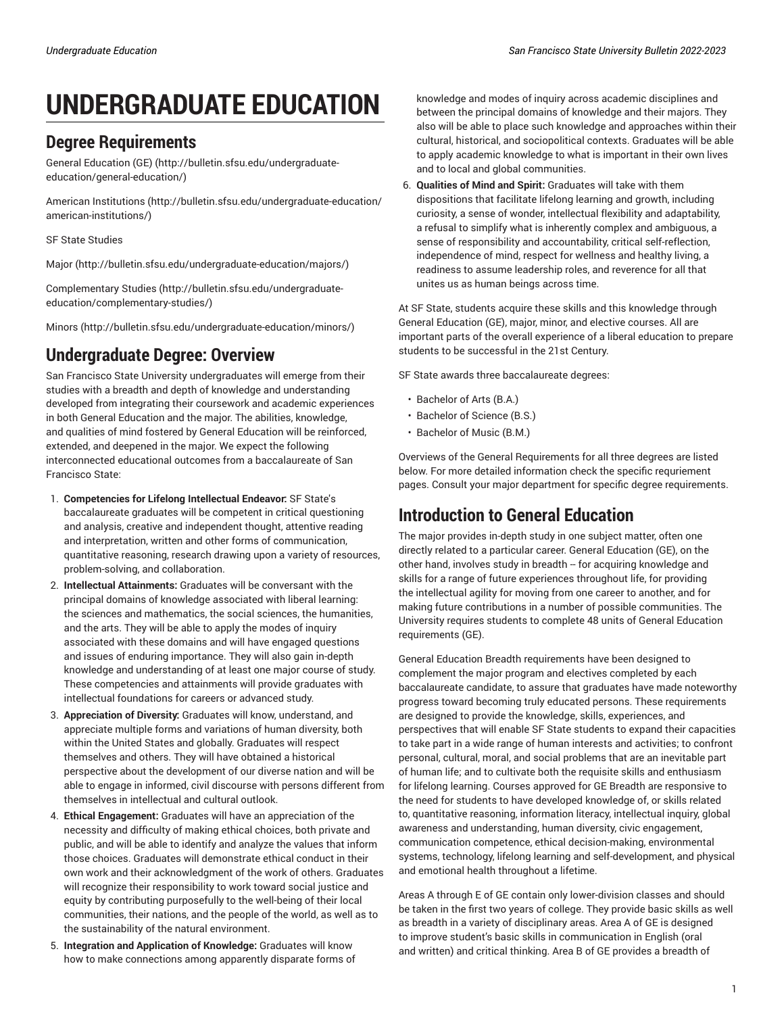# **UNDERGRADUATE EDUCATION**

## **Degree Requirements**

General [Education](http://bulletin.sfsu.edu/undergraduate-education/general-education/) (GE) ([http://bulletin.sfsu.edu/undergraduate](http://bulletin.sfsu.edu/undergraduate-education/general-education/)[education/general-education/](http://bulletin.sfsu.edu/undergraduate-education/general-education/))

[American Institutions](http://bulletin.sfsu.edu/undergraduate-education/american-institutions/) [\(http://bulletin.sfsu.edu/undergraduate-education/](http://bulletin.sfsu.edu/undergraduate-education/american-institutions/) [american-institutions/\)](http://bulletin.sfsu.edu/undergraduate-education/american-institutions/)

[SF State Studies](/undergraduate-education/sf-state-studies/)

[Major \(http://bulletin.sfsu.edu/undergraduate-education/majors/](http://bulletin.sfsu.edu/undergraduate-education/majors/))

[Complementary](http://bulletin.sfsu.edu/undergraduate-education/complementary-studies/) Studies ([http://bulletin.sfsu.edu/undergraduate](http://bulletin.sfsu.edu/undergraduate-education/complementary-studies/)[education/complementary-studies/](http://bulletin.sfsu.edu/undergraduate-education/complementary-studies/))

[Minors](http://bulletin.sfsu.edu/undergraduate-education/minors/) (<http://bulletin.sfsu.edu/undergraduate-education/minors/>)

## **Undergraduate Degree: Overview**

San Francisco State University undergraduates will emerge from their studies with a breadth and depth of knowledge and understanding developed from integrating their coursework and academic experiences in both General Education and the major. The abilities, knowledge, and qualities of mind fostered by General Education will be reinforced, extended, and deepened in the major. We expect the following interconnected educational outcomes from a baccalaureate of San Francisco State:

- 1. **Competencies for Lifelong Intellectual Endeavor:** SF State's baccalaureate graduates will be competent in critical questioning and analysis, creative and independent thought, attentive reading and interpretation, written and other forms of communication, quantitative reasoning, research drawing upon a variety of resources, problem-solving, and collaboration.
- 2. **Intellectual Attainments:** Graduates will be conversant with the principal domains of knowledge associated with liberal learning: the sciences and mathematics, the social sciences, the humanities, and the arts. They will be able to apply the modes of inquiry associated with these domains and will have engaged questions and issues of enduring importance. They will also gain in-depth knowledge and understanding of at least one major course of study. These competencies and attainments will provide graduates with intellectual foundations for careers or advanced study.
- 3. **Appreciation of Diversity:** Graduates will know, understand, and appreciate multiple forms and variations of human diversity, both within the United States and globally. Graduates will respect themselves and others. They will have obtained a historical perspective about the development of our diverse nation and will be able to engage in informed, civil discourse with persons different from themselves in intellectual and cultural outlook.
- 4. **Ethical Engagement:** Graduates will have an appreciation of the necessity and difficulty of making ethical choices, both private and public, and will be able to identify and analyze the values that inform those choices. Graduates will demonstrate ethical conduct in their own work and their acknowledgment of the work of others. Graduates will recognize their responsibility to work toward social justice and equity by contributing purposefully to the well-being of their local communities, their nations, and the people of the world, as well as to the sustainability of the natural environment.
- 5. **Integration and Application of Knowledge:** Graduates will know how to make connections among apparently disparate forms of

knowledge and modes of inquiry across academic disciplines and between the principal domains of knowledge and their majors. They also will be able to place such knowledge and approaches within their cultural, historical, and sociopolitical contexts. Graduates will be able to apply academic knowledge to what is important in their own lives and to local and global communities.

6. **Qualities of Mind and Spirit:** Graduates will take with them dispositions that facilitate lifelong learning and growth, including curiosity, a sense of wonder, intellectual flexibility and adaptability, a refusal to simplify what is inherently complex and ambiguous, a sense of responsibility and accountability, critical self-reflection, independence of mind, respect for wellness and healthy living, a readiness to assume leadership roles, and reverence for all that unites us as human beings across time.

At SF State, students acquire these skills and this knowledge through General Education (GE), major, minor, and elective courses. All are important parts of the overall experience of a liberal education to prepare students to be successful in the 21st Century.

SF State awards three baccalaureate degrees:

- Bachelor of Arts (B.A.)
- Bachelor of Science (B.S.)
- Bachelor of Music (B.M.)

Overviews of the General Requirements for all three degrees are listed below. For more detailed information check the specific requriement pages. Consult your major department for specific degree requirements.

## **Introduction to General Education**

The major provides in-depth study in one subject matter, often one directly related to a particular career. General Education (GE), on the other hand, involves study in breadth -- for acquiring knowledge and skills for a range of future experiences throughout life, for providing the intellectual agility for moving from one career to another, and for making future contributions in a number of possible communities. The University requires students to complete 48 units of General Education requirements (GE).

General Education Breadth requirements have been designed to complement the major program and electives completed by each baccalaureate candidate, to assure that graduates have made noteworthy progress toward becoming truly educated persons. These requirements are designed to provide the knowledge, skills, experiences, and perspectives that will enable SF State students to expand their capacities to take part in a wide range of human interests and activities; to confront personal, cultural, moral, and social problems that are an inevitable part of human life; and to cultivate both the requisite skills and enthusiasm for lifelong learning. Courses approved for GE Breadth are responsive to the need for students to have developed knowledge of, or skills related to, quantitative reasoning, information literacy, intellectual inquiry, global awareness and understanding, human diversity, civic engagement, communication competence, ethical decision-making, environmental systems, technology, lifelong learning and self-development, and physical and emotional health throughout a lifetime.

Areas A through E of GE contain only lower-division classes and should be taken in the first two years of college. They provide basic skills as well as breadth in a variety of disciplinary areas. Area A of GE is designed to improve student's basic skills in communication in English (oral and written) and critical thinking. Area B of GE provides a breadth of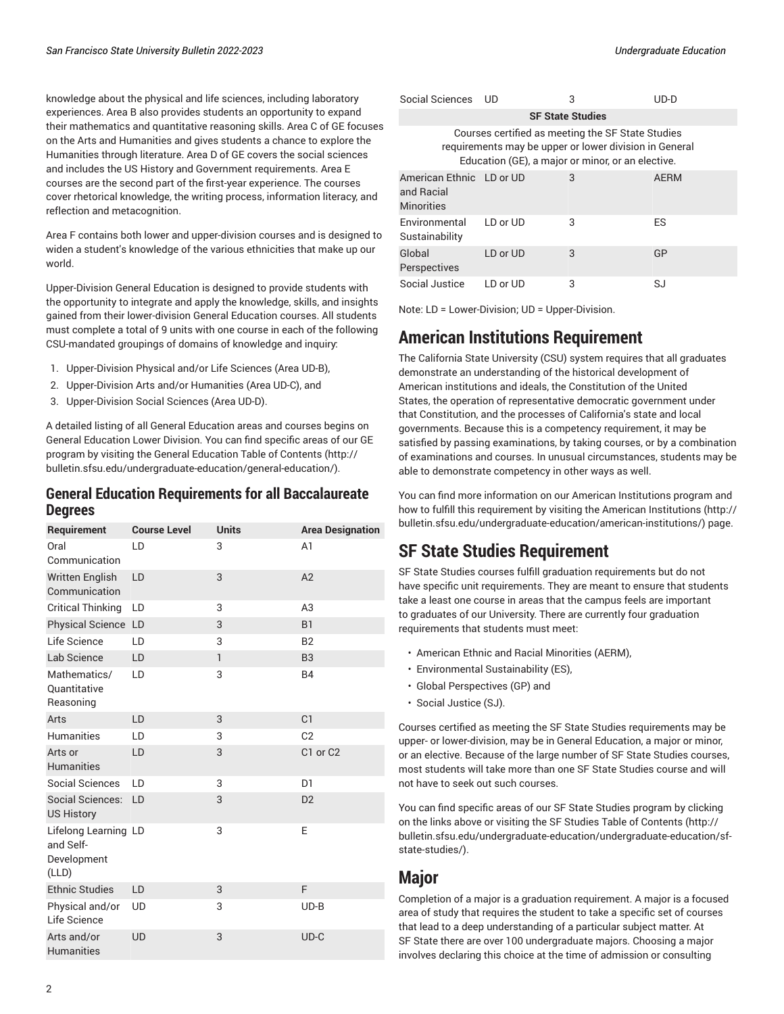knowledge about the physical and life sciences, including laboratory experiences. Area B also provides students an opportunity to expand their mathematics and quantitative reasoning skills. Area C of GE focuses on the Arts and Humanities and gives students a chance to explore the Humanities through literature. Area D of GE covers the social sciences and includes the US History and Government requirements. Area E courses are the second part of the first-year experience. The courses cover rhetorical knowledge, the writing process, information literacy, and reflection and metacognition.

Area F contains both lower and upper-division courses and is designed to widen a student's knowledge of the various ethnicities that make up our world.

Upper-Division General Education is designed to provide students with the opportunity to integrate and apply the knowledge, skills, and insights gained from their lower-division General Education courses. All students must complete a total of 9 units with one course in each of the following CSU-mandated groupings of domains of knowledge and inquiry:

- 1. Upper-Division Physical and/or Life Sciences (Area UD-B),
- 2. Upper-Division Arts and/or Humanities (Area UD-C), and
- 3. Upper-Division Social Sciences (Area UD-D).

A detailed listing of all General Education areas and courses begins on General [Education](/undergraduate-education/general-education/lower-division/) Lower Division. You can find specific areas of our GE program by visiting the General [Education](http://bulletin.sfsu.edu/undergraduate-education/general-education/) Table of Contents [\(http://](http://bulletin.sfsu.edu/undergraduate-education/general-education/) [bulletin.sfsu.edu/undergraduate-education/general-education/](http://bulletin.sfsu.edu/undergraduate-education/general-education/)).

#### **General Education Requirements for all Baccalaureate Degrees**

| Requirement                                               | <b>Course Level</b> | <b>Units</b> | <b>Area Designation</b> |
|-----------------------------------------------------------|---------------------|--------------|-------------------------|
| Oral<br>Communication                                     | LD                  | 3            | A <sub>1</sub>          |
| <b>Written English</b><br>Communication                   | LD                  | 3            | A2                      |
| <b>Critical Thinking</b>                                  | LD                  | 3            | A3                      |
| Physical Science LD                                       |                     | 3            | <b>B1</b>               |
| Life Science                                              | LD                  | 3            | <b>B2</b>               |
| Lab Science                                               | LD                  | $\mathbf{1}$ | B <sub>3</sub>          |
| Mathematics/<br><b>Quantitative</b><br>Reasoning          | LD                  | 3            | <b>B4</b>               |
| Arts                                                      | LD                  | 3            | C1                      |
| <b>Humanities</b>                                         | LD                  | 3            | C <sub>2</sub>          |
| Arts or<br><b>Humanities</b>                              | LD                  | 3            | C1 or C2                |
| Social Sciences                                           | LD                  | 3            | D <sub>1</sub>          |
| Social Sciences:<br><b>US History</b>                     | LD                  | 3            | D <sub>2</sub>          |
| Lifelong Learning LD<br>and Self-<br>Development<br>(LLD) |                     | 3            | F                       |
| <b>Ethnic Studies</b>                                     | LD                  | 3            | F                       |
| Physical and/or<br>Life Science                           | <b>UD</b>           | 3            | $UD-B$                  |
| Arts and/or<br><b>Humanities</b>                          | <b>UD</b>           | 3            | $UD-C$                  |

| Social Sciences                                                                                                                                                  | LJD.     | 3 | UD-D        |  |  |
|------------------------------------------------------------------------------------------------------------------------------------------------------------------|----------|---|-------------|--|--|
| <b>SF State Studies</b>                                                                                                                                          |          |   |             |  |  |
| Courses certified as meeting the SF State Studies<br>requirements may be upper or lower division in General<br>Education (GE), a major or minor, or an elective. |          |   |             |  |  |
| American Ethnic LD or UD<br>and Racial<br><b>Minorities</b>                                                                                                      |          | 3 | <b>AERM</b> |  |  |
| Environmental<br>Sustainability                                                                                                                                  | LD or UD | 3 | ES          |  |  |
| Global<br>Perspectives                                                                                                                                           | LD or UD | 3 | GP          |  |  |
| Social Justice                                                                                                                                                   | LD or UD | 3 | SJ          |  |  |

Note: LD = Lower-Division; UD = Upper-Division.

## **American Institutions Requirement**

The California State University (CSU) system requires that all graduates demonstrate an understanding of the historical development of American institutions and ideals, the Constitution of the United States, the operation of representative democratic government under that Constitution, and the processes of California's state and local governments. Because this is a competency requirement, it may be satisfied by passing examinations, by taking courses, or by a combination of examinations and courses. In unusual circumstances, students may be able to demonstrate competency in other ways as well.

You can find more information on our American Institutions program and how to fulfill this requirement by visiting the [American Institutions \(http://](http://bulletin.sfsu.edu/undergraduate-education/american-institutions/) [bulletin.sfsu.edu/undergraduate-education/american-institutions/](http://bulletin.sfsu.edu/undergraduate-education/american-institutions/)) page.

# **SF State Studies Requirement**

SF State Studies courses fulfill graduation requirements but do not have specific unit requirements. They are meant to ensure that students take a least one course in areas that the campus feels are important to graduates of our University. There are currently four graduation requirements that students must meet:

- [American Ethnic and Racial Minorities \(AERM\),](/undergraduate-education/sf-state-studies/aerm/)
- [Environmental](/undergraduate-education/sf-state-studies/es/) Sustainability (ES),
- Global [Perspectives](/undergraduate-education/sf-state-studies/gp/) (GP) and
- [Social Justice \(SJ\).](/undergraduate-education/sf-state-studies/sj/)

Courses certified as meeting the SF State Studies requirements may be upper- or lower-division, may be in General Education, a major or minor, or an elective. Because of the large number of SF State Studies courses, most students will take more than one SF State Studies course and will not have to seek out such courses.

You can find specific areas of our SF State Studies program by clicking on the links above or visiting the SF Studies Table of [Contents](http://bulletin.sfsu.edu/undergraduate-education/undergraduate-education/sf-state-studies/) [\(http://](http://bulletin.sfsu.edu/undergraduate-education/undergraduate-education/sf-state-studies/) [bulletin.sfsu.edu/undergraduate-education/undergraduate-education/sf](http://bulletin.sfsu.edu/undergraduate-education/undergraduate-education/sf-state-studies/)[state-studies/\)](http://bulletin.sfsu.edu/undergraduate-education/undergraduate-education/sf-state-studies/).

#### **Major**

Completion of a major is a graduation requirement. A major is a focused area of study that requires the student to take a specific set of courses that lead to a deep understanding of a particular subject matter. At SF State there are over 100 undergraduate majors. Choosing a major involves declaring this choice at the time of admission or consulting